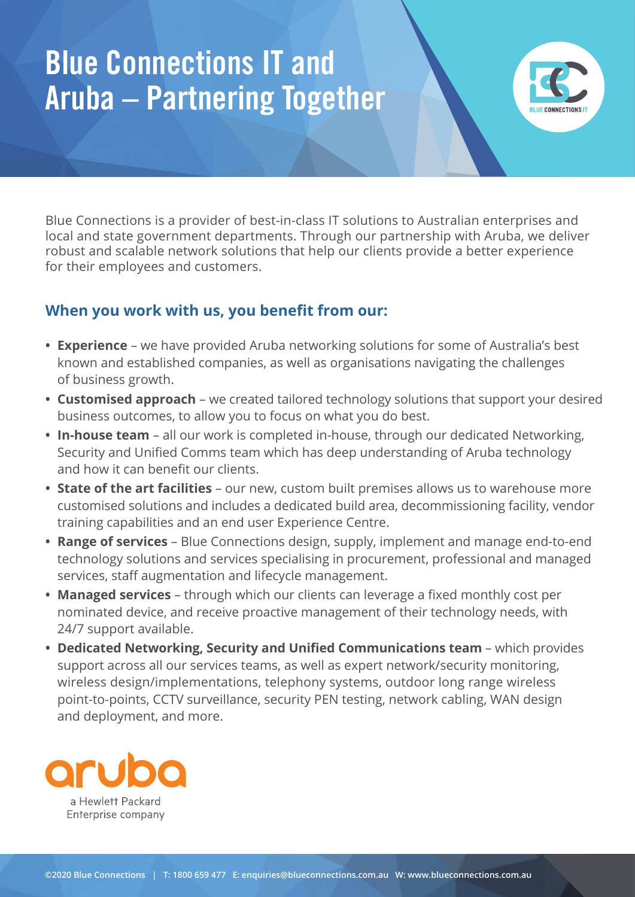# Blue Connections IT and Aruba – Partnering Together



Blue Connections is a provider of best-in-class IT solutions to Australian enterprises and local and state government departments. Through our partnership with Aruba, we deliver robust and scalable network solutions that help our clients provide a better experience for their employees and customers.

# **When you work with us, you benefit from our:**

- **• Experience** we have provided Aruba networking solutions for some of Australia's best known and established companies, as well as organisations navigating the challenges of business growth.
- **• Customised approach** we created tailored technology solutions that support your desired business outcomes, to allow you to focus on what you do best.
- **• In-house team** all our work is completed in-house, through our dedicated Networking, Security and Unified Comms team which has deep understanding of Aruba technology and how it can benefit our clients.
- **• State of the art facilities** our new, custom built premises allows us to warehouse more customised solutions and includes a dedicated build area, decommissioning facility, vendor training capabilities and an end user Experience Centre.
- **• Range of services** Blue Connections design, supply, implement and manage end-to-end technology solutions and services specialising in procurement, professional and managed services, staff augmentation and lifecycle management.
- **• Managed services** through which our clients can leverage a fixed monthly cost per nominated device, and receive proactive management of their technology needs, with 24/7 support available.
- **• Dedicated Networking, Security and Unified Communications team** which provides support across all our services teams, as well as expert network/security monitoring, wireless design/implementations, telephony systems, outdoor long range wireless point-to-points, CCTV surveillance, security PEN testing, network cabling, WAN design and deployment, and more.